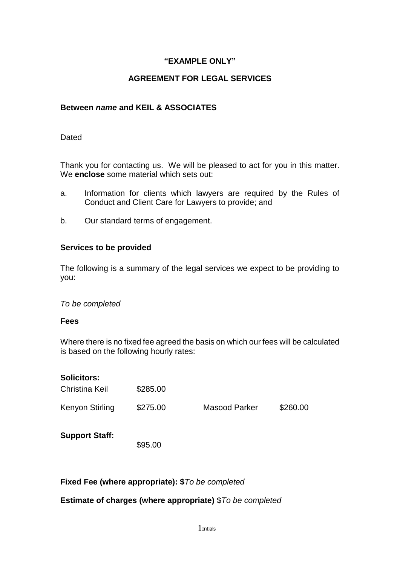## **"EXAMPLE ONLY"**

# **AGREEMENT FOR LEGAL SERVICES**

## **Between** *name* **and KEIL & ASSOCIATES**

#### **Dated**

Thank you for contacting us. We will be pleased to act for you in this matter. We **enclose** some material which sets out:

- a. Information for clients which lawyers are required by the Rules of Conduct and Client Care for Lawyers to provide; and
- b. Our standard terms of engagement.

#### **Services to be provided**

The following is a summary of the legal services we expect to be providing to you:

#### *To be completed*

#### **Fees**

Where there is no fixed fee agreed the basis on which our fees will be calculated is based on the following hourly rates:

| <b>Solicitors:</b>    |          |                      |          |
|-----------------------|----------|----------------------|----------|
| Christina Keil        | \$285.00 |                      |          |
| Kenyon Stirling       | \$275.00 | <b>Masood Parker</b> | \$260.00 |
| <b>Support Staff:</b> | \$95.00  |                      |          |

#### **Fixed Fee (where appropriate): \$***To be completed*

#### **Estimate of charges (where appropriate)** \$*To be completed*

 $1$ Intials  $\_\_$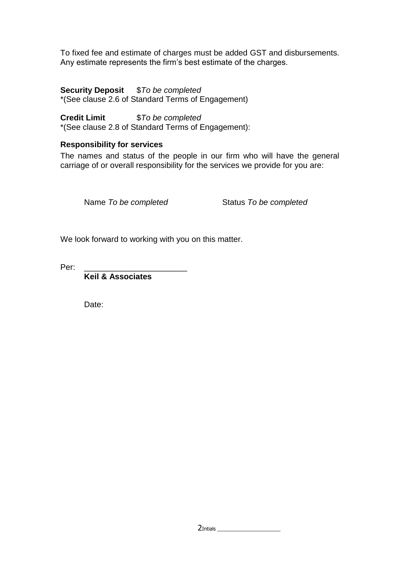To fixed fee and estimate of charges must be added GST and disbursements. Any estimate represents the firm's best estimate of the charges.

**Security Deposit** \$*To be completed* \*(See clause 2.6 of Standard Terms of Engagement)

**Credit Limit** \$*To be completed*

# \*(See clause 2.8 of Standard Terms of Engagement):

# **Responsibility for services**

The names and status of the people in our firm who will have the general carriage of or overall responsibility for the services we provide for you are:

Name *To be completed* Status *To be completed*

We look forward to working with you on this matter.

Per:

**Keil & Associates**

Date: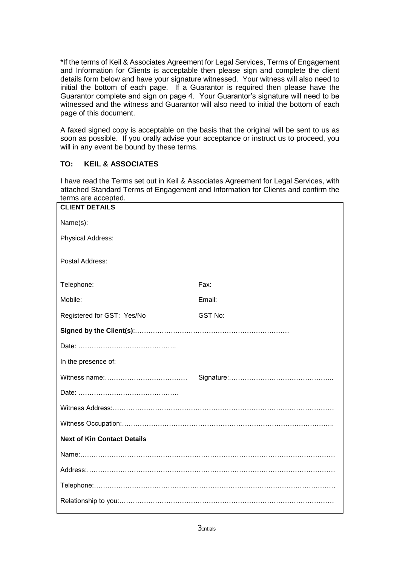\*If the terms of Keil & Associates Agreement for Legal Services, Terms of Engagement and Information for Clients is acceptable then please sign and complete the client details form below and have your signature witnessed. Your witness will also need to initial the bottom of each page. If a Guarantor is required then please have the Guarantor complete and sign on page 4. Your Guarantor's signature will need to be witnessed and the witness and Guarantor will also need to initial the bottom of each page of this document.

A faxed signed copy is acceptable on the basis that the original will be sent to us as soon as possible. If you orally advise your acceptance or instruct us to proceed, you will in any event be bound by these terms.

#### **TO: KEIL & ASSOCIATES**

I have read the Terms set out in Keil & Associates Agreement for Legal Services, with attached Standard Terms of Engagement and Information for Clients and confirm the terms are accepted.

| <b>CLIENT DETAILS</b>              |         |  |  |
|------------------------------------|---------|--|--|
| Name(s):                           |         |  |  |
| Physical Address:                  |         |  |  |
| Postal Address:                    |         |  |  |
| Telephone:                         | Fax:    |  |  |
| Mobile:                            | Email:  |  |  |
| Registered for GST: Yes/No         | GST No: |  |  |
|                                    |         |  |  |
|                                    |         |  |  |
| In the presence of:                |         |  |  |
|                                    |         |  |  |
|                                    |         |  |  |
|                                    |         |  |  |
|                                    |         |  |  |
| <b>Next of Kin Contact Details</b> |         |  |  |
|                                    |         |  |  |
|                                    |         |  |  |
|                                    |         |  |  |
|                                    |         |  |  |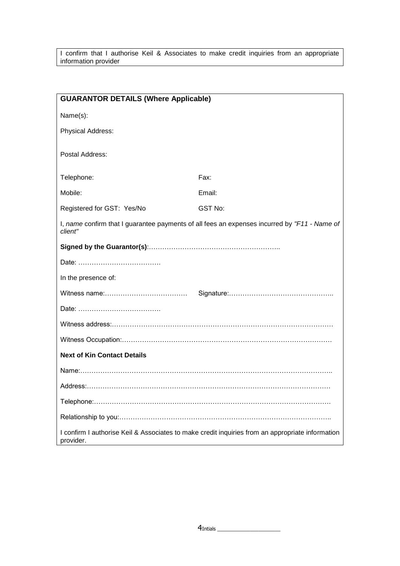I confirm that I authorise Keil & Associates to make credit inquiries from an appropriate information provider

| <b>GUARANTOR DETAILS (Where Applicable)</b>                                                                   |         |  |  |
|---------------------------------------------------------------------------------------------------------------|---------|--|--|
| Name(s):                                                                                                      |         |  |  |
| Physical Address:                                                                                             |         |  |  |
| Postal Address:                                                                                               |         |  |  |
| Telephone:                                                                                                    | Fax:    |  |  |
| Mobile:                                                                                                       | Email:  |  |  |
| Registered for GST: Yes/No                                                                                    | GST No: |  |  |
| I, name confirm that I guarantee payments of all fees an expenses incurred by "F11 - Name of<br>client"       |         |  |  |
|                                                                                                               |         |  |  |
|                                                                                                               |         |  |  |
| In the presence of:                                                                                           |         |  |  |
|                                                                                                               |         |  |  |
|                                                                                                               |         |  |  |
|                                                                                                               |         |  |  |
|                                                                                                               |         |  |  |
| <b>Next of Kin Contact Details</b>                                                                            |         |  |  |
|                                                                                                               |         |  |  |
|                                                                                                               |         |  |  |
|                                                                                                               |         |  |  |
|                                                                                                               |         |  |  |
| I confirm I authorise Keil & Associates to make credit inquiries from an appropriate information<br>provider. |         |  |  |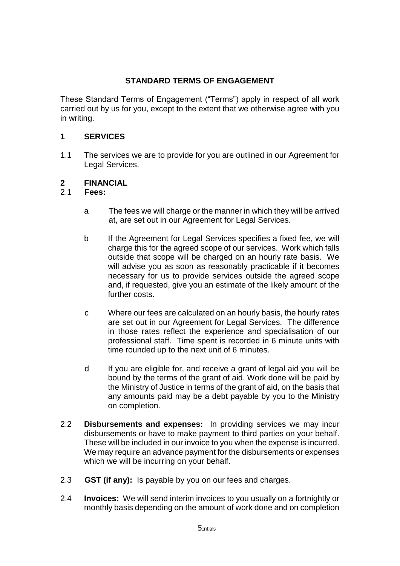# **STANDARD TERMS OF ENGAGEMENT**

These Standard Terms of Engagement ("Terms") apply in respect of all work carried out by us for you, except to the extent that we otherwise agree with you in writing.

# **1 SERVICES**

1.1 The services we are to provide for you are outlined in our Agreement for Legal Services.

#### **2 FINANCIAL**

## 2.1 **Fees:**

- a The fees we will charge or the manner in which they will be arrived at, are set out in our Agreement for Legal Services.
- b If the Agreement for Legal Services specifies a fixed fee, we will charge this for the agreed scope of our services. Work which falls outside that scope will be charged on an hourly rate basis. We will advise you as soon as reasonably practicable if it becomes necessary for us to provide services outside the agreed scope and, if requested, give you an estimate of the likely amount of the further costs.
- c Where our fees are calculated on an hourly basis, the hourly rates are set out in our Agreement for Legal Services. The difference in those rates reflect the experience and specialisation of our professional staff. Time spent is recorded in 6 minute units with time rounded up to the next unit of 6 minutes.
- d If you are eligible for, and receive a grant of legal aid you will be bound by the terms of the grant of aid. Work done will be paid by the Ministry of Justice in terms of the grant of aid, on the basis that any amounts paid may be a debt payable by you to the Ministry on completion.
- 2.2 **Disbursements and expenses:** In providing services we may incur disbursements or have to make payment to third parties on your behalf. These will be included in our invoice to you when the expense is incurred. We may require an advance payment for the disbursements or expenses which we will be incurring on your behalf.
- 2.3 **GST (if any):** Is payable by you on our fees and charges.
- 2.4 **Invoices:** We will send interim invoices to you usually on a fortnightly or monthly basis depending on the amount of work done and on completion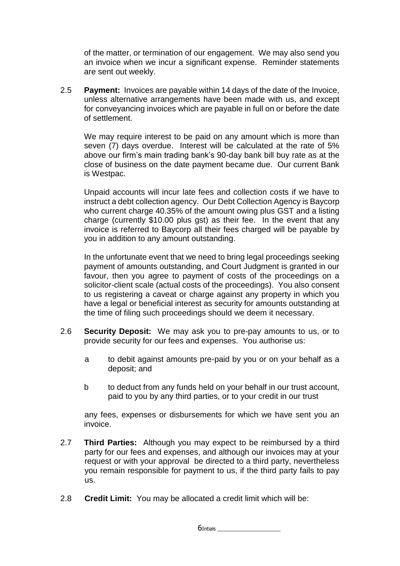of the matter, or termination of our engagement. We may also send you an invoice when we incur a significant expense. Reminder statements are sent out weekly.

2.5 **Payment:** Invoices are payable within 14 days of the date of the Invoice, unless alternative arrangements have been made with us, and except for conveyancing invoices which are payable in full on or before the date of settlement.

We may require interest to be paid on any amount which is more than seven (7) days overdue. Interest will be calculated at the rate of 5% above our firm's main trading bank's 90-day bank bill buy rate as at the close of business on the date payment became due. Our current Bank is Westpac.

Unpaid accounts will incur late fees and collection costs if we have to instruct a debt collection agency. Our Debt Collection Agency is Baycorp who current charge 40.35% of the amount owing plus GST and a listing charge (currently \$10.00 plus gst) as their fee. In the event that any invoice is referred to Baycorp all their fees charged will be payable by you in addition to any amount outstanding.

In the unfortunate event that we need to bring legal proceedings seeking payment of amounts outstanding, and Court Judgment is granted in our favour, then you agree to payment of costs of the proceedings on a solicitor-client scale (actual costs of the proceedings). You also consent to us registering a caveat or charge against any property in which you have a legal or beneficial interest as security for amounts outstanding at the time of filing such proceedings should we deem it necessary.

- 2.6 **Security Deposit:** We may ask you to pre-pay amounts to us, or to provide security for our fees and expenses. You authorise us:
	- a to debit against amounts pre-paid by you or on your behalf as a deposit; and
	- b to deduct from any funds held on your behalf in our trust account, paid to you by any third parties, or to your credit in our trust

any fees, expenses or disbursements for which we have sent you an invoice.

- 2.7 **Third Parties:** Although you may expect to be reimbursed by a third party for our fees and expenses, and although our invoices may at your request or with your approval be directed to a third party, nevertheless you remain responsible for payment to us, if the third party fails to pay us.
- 2.8 **Credit Limit:** You may be allocated a credit limit which will be:

 $6$ Intials  $-$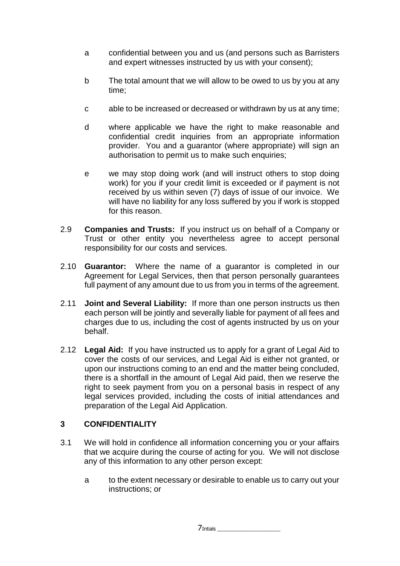- a confidential between you and us (and persons such as Barristers and expert witnesses instructed by us with your consent);
- b The total amount that we will allow to be owed to us by you at any time;
- c able to be increased or decreased or withdrawn by us at any time;
- d where applicable we have the right to make reasonable and confidential credit inquiries from an appropriate information provider. You and a guarantor (where appropriate) will sign an authorisation to permit us to make such enquiries;
- e we may stop doing work (and will instruct others to stop doing work) for you if your credit limit is exceeded or if payment is not received by us within seven (7) days of issue of our invoice. We will have no liability for any loss suffered by you if work is stopped for this reason.
- 2.9 **Companies and Trusts:** If you instruct us on behalf of a Company or Trust or other entity you nevertheless agree to accept personal responsibility for our costs and services.
- 2.10 **Guarantor:** Where the name of a guarantor is completed in our Agreement for Legal Services, then that person personally guarantees full payment of any amount due to us from you in terms of the agreement.
- 2.11 **Joint and Several Liability:** If more than one person instructs us then each person will be jointly and severally liable for payment of all fees and charges due to us, including the cost of agents instructed by us on your behalf.
- 2.12 **Legal Aid:** If you have instructed us to apply for a grant of Legal Aid to cover the costs of our services, and Legal Aid is either not granted, or upon our instructions coming to an end and the matter being concluded, there is a shortfall in the amount of Legal Aid paid, then we reserve the right to seek payment from you on a personal basis in respect of any legal services provided, including the costs of initial attendances and preparation of the Legal Aid Application.

# **3 CONFIDENTIALITY**

- 3.1 We will hold in confidence all information concerning you or your affairs that we acquire during the course of acting for you. We will not disclose any of this information to any other person except:
	- a to the extent necessary or desirable to enable us to carry out your instructions; or

 $7$ Intials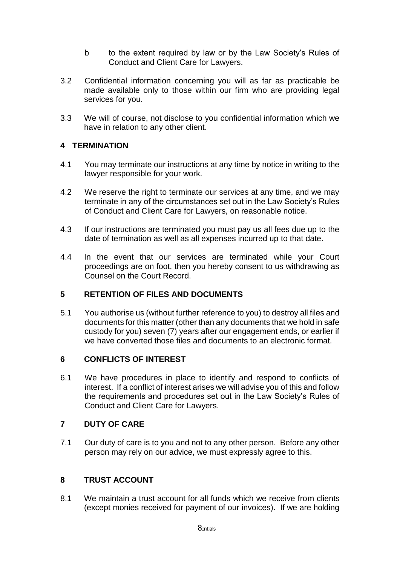- b to the extent required by law or by the Law Society's Rules of Conduct and Client Care for Lawyers.
- 3.2 Confidential information concerning you will as far as practicable be made available only to those within our firm who are providing legal services for you.
- 3.3 We will of course, not disclose to you confidential information which we have in relation to any other client.

# **4 TERMINATION**

- 4.1 You may terminate our instructions at any time by notice in writing to the lawyer responsible for your work.
- 4.2 We reserve the right to terminate our services at any time, and we may terminate in any of the circumstances set out in the Law Society's Rules of Conduct and Client Care for Lawyers, on reasonable notice.
- 4.3 If our instructions are terminated you must pay us all fees due up to the date of termination as well as all expenses incurred up to that date.
- 4.4 In the event that our services are terminated while your Court proceedings are on foot, then you hereby consent to us withdrawing as Counsel on the Court Record.

# **5 RETENTION OF FILES AND DOCUMENTS**

5.1 You authorise us (without further reference to you) to destroy all files and documents for this matter (other than any documents that we hold in safe custody for you) seven (7) years after our engagement ends, or earlier if we have converted those files and documents to an electronic format.

# **6 CONFLICTS OF INTEREST**

6.1 We have procedures in place to identify and respond to conflicts of interest. If a conflict of interest arises we will advise you of this and follow the requirements and procedures set out in the Law Society's Rules of Conduct and Client Care for Lawyers.

# **7 DUTY OF CARE**

7.1 Our duty of care is to you and not to any other person. Before any other person may rely on our advice, we must expressly agree to this.

# **8 TRUST ACCOUNT**

8.1 We maintain a trust account for all funds which we receive from clients (except monies received for payment of our invoices). If we are holding

8Intials \_\_\_\_\_\_\_\_\_\_\_\_\_\_\_\_\_\_\_\_\_\_\_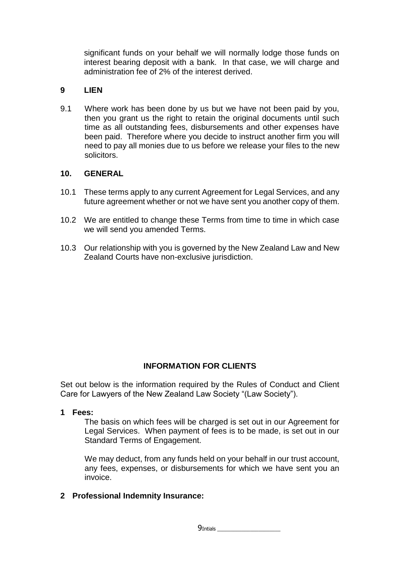significant funds on your behalf we will normally lodge those funds on interest bearing deposit with a bank. In that case, we will charge and administration fee of 2% of the interest derived.

# **9 LIEN**

9.1 Where work has been done by us but we have not been paid by you, then you grant us the right to retain the original documents until such time as all outstanding fees, disbursements and other expenses have been paid. Therefore where you decide to instruct another firm you will need to pay all monies due to us before we release your files to the new solicitors.

#### **10. GENERAL**

- 10.1 These terms apply to any current Agreement for Legal Services, and any future agreement whether or not we have sent you another copy of them.
- 10.2 We are entitled to change these Terms from time to time in which case we will send you amended Terms.
- 10.3 Our relationship with you is governed by the New Zealand Law and New Zealand Courts have non-exclusive jurisdiction.

# **INFORMATION FOR CLIENTS**

Set out below is the information required by the Rules of Conduct and Client Care for Lawyers of the New Zealand Law Society "(Law Society").

**1 Fees:**

The basis on which fees will be charged is set out in our Agreement for Legal Services. When payment of fees is to be made, is set out in our Standard Terms of Engagement.

We may deduct, from any funds held on your behalf in our trust account, any fees, expenses, or disbursements for which we have sent you an invoice.

#### **2 Professional Indemnity Insurance:**

9Intials \_\_\_\_\_\_\_\_\_\_\_\_\_\_\_\_\_\_\_\_\_\_\_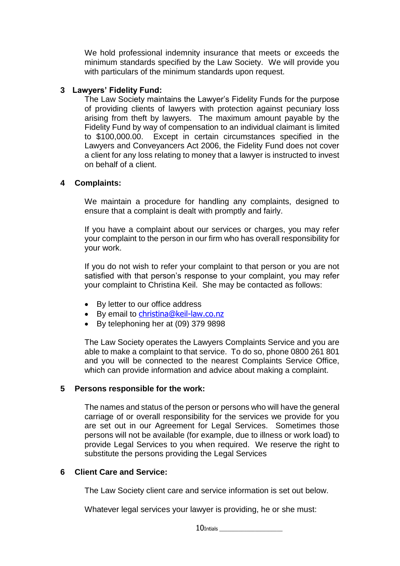We hold professional indemnity insurance that meets or exceeds the minimum standards specified by the Law Society. We will provide you with particulars of the minimum standards upon request.

#### **3 Lawyers' Fidelity Fund:**

The Law Society maintains the Lawyer's Fidelity Funds for the purpose of providing clients of lawyers with protection against pecuniary loss arising from theft by lawyers. The maximum amount payable by the Fidelity Fund by way of compensation to an individual claimant is limited to \$100,000.00. Except in certain circumstances specified in the Lawyers and Conveyancers Act 2006, the Fidelity Fund does not cover a client for any loss relating to money that a lawyer is instructed to invest on behalf of a client.

#### **4 Complaints:**

We maintain a procedure for handling any complaints, designed to ensure that a complaint is dealt with promptly and fairly.

If you have a complaint about our services or charges, you may refer your complaint to the person in our firm who has overall responsibility for your work.

If you do not wish to refer your complaint to that person or you are not satisfied with that person's response to your complaint, you may refer your complaint to Christina Keil. She may be contacted as follows:

- By letter to our office address
- By email to [christina@keil-law.co.nz](mailto:christina@keil-law.co.nz)
- By telephoning her at (09) 379 9898

The Law Society operates the Lawyers Complaints Service and you are able to make a complaint to that service. To do so, phone 0800 261 801 and you will be connected to the nearest Complaints Service Office, which can provide information and advice about making a complaint.

#### **5 Persons responsible for the work:**

The names and status of the person or persons who will have the general carriage of or overall responsibility for the services we provide for you are set out in our Agreement for Legal Services. Sometimes those persons will not be available (for example, due to illness or work load) to provide Legal Services to you when required. We reserve the right to substitute the persons providing the Legal Services

# **6 Client Care and Service:**

The Law Society client care and service information is set out below.

Whatever legal services your lawyer is providing, he or she must:

 $10$ Intials